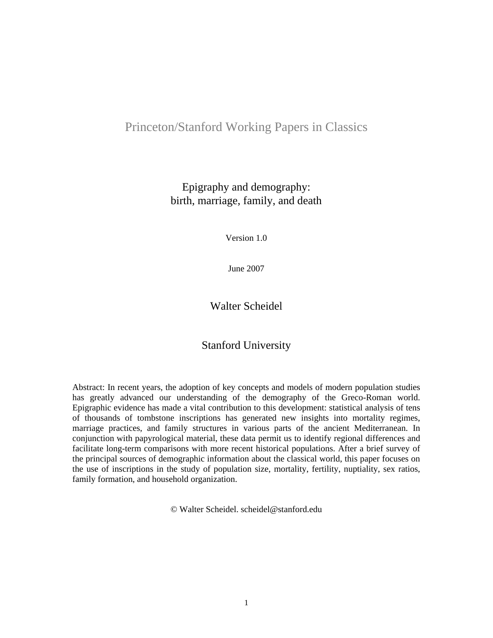# Princeton/Stanford Working Papers in Classics

Epigraphy and demography: birth, marriage, family, and death

Version 1.0

June 2007

Walter Scheidel

## Stanford University

Abstract: In recent years, the adoption of key concepts and models of modern population studies has greatly advanced our understanding of the demography of the Greco-Roman world. Epigraphic evidence has made a vital contribution to this development: statistical analysis of tens of thousands of tombstone inscriptions has generated new insights into mortality regimes, marriage practices, and family structures in various parts of the ancient Mediterranean. In conjunction with papyrological material, these data permit us to identify regional differences and facilitate long-term comparisons with more recent historical populations. After a brief survey of the principal sources of demographic information about the classical world, this paper focuses on the use of inscriptions in the study of population size, mortality, fertility, nuptiality, sex ratios, family formation, and household organization.

© Walter Scheidel. scheidel@stanford.edu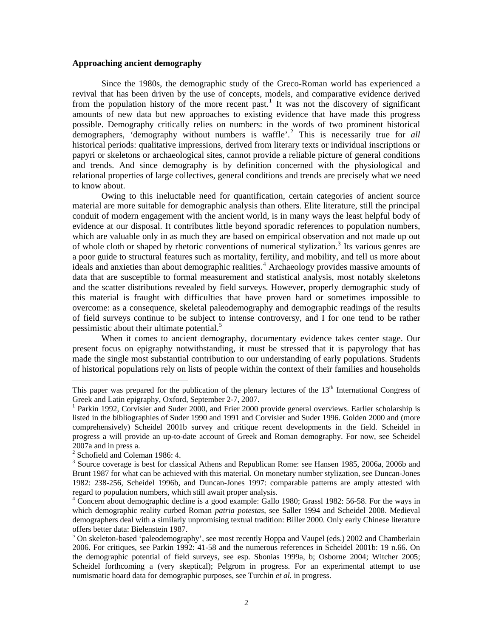#### **Approaching ancient demography**

Since the 1980s, the demographic study of the Greco-Roman world has experienced a revival that has been driven by the use of concepts, models, and comparative evidence derived from the population history of the more recent past.<sup>[1](#page-1-0)</sup> It was not the discovery of significant amounts of new data but new approaches to existing evidence that have made this progress possible. Demography critically relies on numbers: in the words of two prominent historical demographers, 'demography without numbers is waffle'.[2](#page-1-1) This is necessarily true for *all* historical periods: qualitative impressions, derived from literary texts or individual inscriptions or papyri or skeletons or archaeological sites, cannot provide a reliable picture of general conditions and trends. And since demography is by definition concerned with the physiological and relational properties of large collectives, general conditions and trends are precisely what we need to know about.

Owing to this ineluctable need for quantification, certain categories of ancient source material are more suitable for demographic analysis than others. Elite literature, still the principal conduit of modern engagement with the ancient world, is in many ways the least helpful body of evidence at our disposal. It contributes little beyond sporadic references to population numbers, which are valuable only in as much they are based on empirical observation and not made up out of whole cloth or shaped by rhetoric conventions of numerical stylization.<sup>[3](#page-1-2)</sup> Its various genres are a poor guide to structural features such as mortality, fertility, and mobility, and tell us more about ideals and anxieties than about demographic realities.<sup>[4](#page-1-3)</sup> Archaeology provides massive amounts of data that are susceptible to formal measurement and statistical analysis, most notably skeletons and the scatter distributions revealed by field surveys. However, properly demographic study of this material is fraught with difficulties that have proven hard or sometimes impossible to overcome: as a consequence, skeletal paleodemography and demographic readings of the results of field surveys continue to be subject to intense controversy, and I for one tend to be rather pessimistic about their ultimate potential.<sup>[5](#page-1-4)</sup>

When it comes to ancient demography, documentary evidence takes center stage. Our present focus on epigraphy notwithstanding, it must be stressed that it is papyrology that has made the single most substantial contribution to our understanding of early populations. Students of historical populations rely on lists of people within the context of their families and households

<span id="page-1-0"></span>This paper was prepared for the publication of the plenary lectures of the  $13<sup>th</sup>$  International Congress of Greek and Latin epigraphy, Oxford, September 2-7, 2007.

<sup>&</sup>lt;sup>1</sup> Parkin 1992, Corvisier and Suder 2000, and Frier 2000 provide general overviews. Earlier scholarship is listed in the bibliographies of Suder 1990 and 1991 and Corvisier and Suder 1996. Golden 2000 and (more comprehensively) Scheidel 2001b survey and critique recent developments in the field. Scheidel in progress a will provide an up-to-date account of Greek and Roman demography. For now, see Scheidel 2007a and in press a.

<span id="page-1-1"></span><sup>&</sup>lt;sup>2</sup> Schofield and Coleman 1986: 4.

<span id="page-1-2"></span><sup>&</sup>lt;sup>3</sup> Source coverage is best for classical Athens and Republican Rome: see Hansen 1985, 2006a, 2006b and Brunt 1987 for what can be achieved with this material. On monetary number stylization, see Duncan-Jones 1982: 238-256, Scheidel 1996b, and Duncan-Jones 1997: comparable patterns are amply attested with regard to population numbers, which still await proper analysis.

<span id="page-1-3"></span><sup>&</sup>lt;sup>4</sup> Concern about demographic decline is a good example: Gallo 1980; Grassl 1982: 56-58. For the ways in which demographic reality curbed Roman *patria potestas*, see Saller 1994 and Scheidel 2008. Medieval demographers deal with a similarly unpromising textual tradition: Biller 2000. Only early Chinese literature offers better data: Bielenstein 1987.

<span id="page-1-4"></span><sup>&</sup>lt;sup>5</sup> On skeleton-based 'paleodemography', see most recently Hoppa and Vaupel (eds.) 2002 and Chamberlain 2006. For critiques, see Parkin 1992: 41-58 and the numerous references in Scheidel 2001b: 19 n.66. On the demographic potential of field surveys, see esp. Sbonias 1999a, b; Osborne 2004; Witcher 2005; Scheidel forthcoming a (very skeptical); Pelgrom in progress. For an experimental attempt to use numismatic hoard data for demographic purposes, see Turchin *et al.* in progress.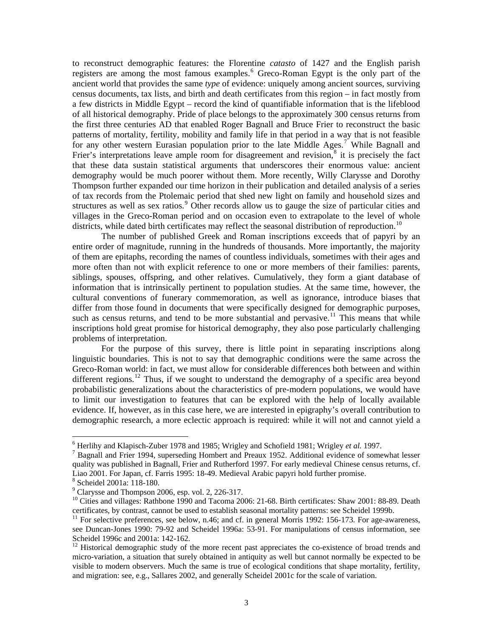to reconstruct demographic features: the Florentine *catasto* of 1427 and the English parish registers are among the most famous examples.<sup>[6](#page-2-0)</sup> Greco-Roman Egypt is the only part of the ancient world that provides the same *type* of evidence: uniquely among ancient sources, surviving census documents, tax lists, and birth and death certificates from this region – in fact mostly from a few districts in Middle Egypt – record the kind of quantifiable information that is the lifeblood of all historical demography. Pride of place belongs to the approximately 300 census returns from the first three centuries AD that enabled Roger Bagnall and Bruce Frier to reconstruct the basic patterns of mortality, fertility, mobility and family life in that period in a way that is not feasible for any other western Eurasian population prior to the late Middle Ages.<sup>[7](#page-2-1)</sup> While Bagnall and Frier's interpretations leave ample room for disagreement and revision, $\delta$  it is precisely the fact that these data sustain statistical arguments that underscores their enormous value: ancient demography would be much poorer without them. More recently, Willy Clarysse and Dorothy Thompson further expanded our time horizon in their publication and detailed analysis of a series of tax records from the Ptolemaic period that shed new light on family and household sizes and structures as well as sex ratios.<sup>[9](#page-2-3)</sup> Other records allow us to gauge the size of particular cities and villages in the Greco-Roman period and on occasion even to extrapolate to the level of whole districts, while dated birth certificates may reflect the seasonal distribution of reproduction.<sup>[10](#page-2-4)</sup>

The number of published Greek and Roman inscriptions exceeds that of papyri by an entire order of magnitude, running in the hundreds of thousands. More importantly, the majority of them are epitaphs, recording the names of countless individuals, sometimes with their ages and more often than not with explicit reference to one or more members of their families: parents, siblings, spouses, offspring, and other relatives. Cumulatively, they form a giant database of information that is intrinsically pertinent to population studies. At the same time, however, the cultural conventions of funerary commemoration, as well as ignorance, introduce biases that differ from those found in documents that were specifically designed for demographic purposes, such as census returns, and tend to be more substantial and pervasive.<sup>[11](#page-2-5)</sup> This means that while inscriptions hold great promise for historical demography, they also pose particularly challenging problems of interpretation.

For the purpose of this survey, there is little point in separating inscriptions along linguistic boundaries. This is not to say that demographic conditions were the same across the Greco-Roman world: in fact, we must allow for considerable differences both between and within different regions.<sup>[12](#page-2-6)</sup> Thus, if we sought to understand the demography of a specific area beyond probabilistic generalizations about the characteristics of pre-modern populations, we would have to limit our investigation to features that can be explored with the help of locally available evidence. If, however, as in this case here, we are interested in epigraphy's overall contribution to demographic research, a more eclectic approach is required: while it will not and cannot yield a

<sup>&</sup>lt;sup>6</sup> Herlihy and Klapisch-Zuber 1978 and 1985; Wrigley and Schofield 1981; Wrigley *et al.* 1997.

<span id="page-2-1"></span><span id="page-2-0"></span><sup>&</sup>lt;sup>7</sup> Bagnall and Frier 1994, superseding Hombert and Preaux 1952. Additional evidence of somewhat lesser quality was published in Bagnall, Frier and Rutherford 1997. For early medieval Chinese census returns, cf. Liao 2001. For Japan, cf. Farris 1995: 18-49. Medieval Arabic papyri hold further promise.

<span id="page-2-2"></span><sup>8</sup> Scheidel 2001a: 118-180.

 $9^9$  Clarysse and Thompson 2006, esp. vol. 2, 226-317.

<span id="page-2-4"></span><span id="page-2-3"></span><sup>&</sup>lt;sup>10</sup> Cities and villages: Rathbone 1990 and Tacoma 2006: 21-68. Birth certificates: Shaw 2001: 88-89. Death certificates, by contrast, cannot be used to establish seasonal mortality patterns: see Scheidel 1999b.

<span id="page-2-5"></span><sup>&</sup>lt;sup>11</sup> For selective preferences, see below, n.46; and cf. in general Morris 1992: 156-173. For age-awareness, see Duncan-Jones 1990: 79-92 and Scheidel 1996a: 53-91. For manipulations of census information, see Scheidel 1996c and 2001a: 142-162.

<span id="page-2-6"></span> $12$  Historical demographic study of the more recent past appreciates the co-existence of broad trends and micro-variation, a situation that surely obtained in antiquity as well but cannot normally be expected to be visible to modern observers. Much the same is true of ecological conditions that shape mortality, fertility, and migration: see, e.g., Sallares 2002, and generally Scheidel 2001c for the scale of variation.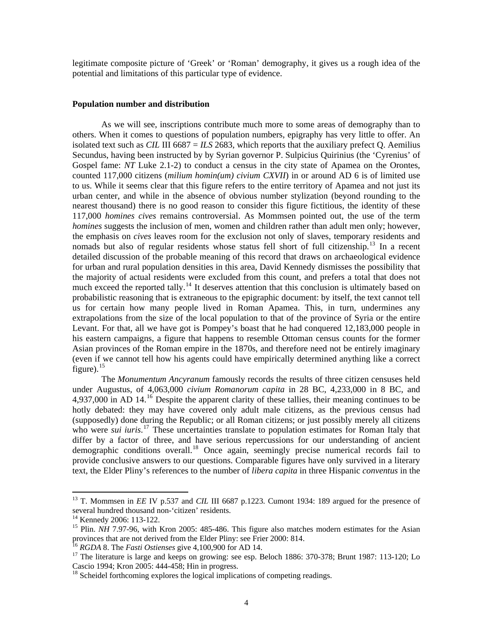legitimate composite picture of 'Greek' or 'Roman' demography, it gives us a rough idea of the potential and limitations of this particular type of evidence.

#### **Population number and distribution**

As we will see, inscriptions contribute much more to some areas of demography than to others. When it comes to questions of population numbers, epigraphy has very little to offer. An isolated text such as *CIL* III 6687 = *ILS* 2683, which reports that the auxiliary prefect Q. Aemilius Secundus, having been instructed by by Syrian governor P. Sulpicius Quirinius (the 'Cyrenius' of Gospel fame: *NT* Luke 2.1-2) to conduct a census in the city state of Apamea on the Orontes, counted 117,000 citizens (*milium homin(um) civium CXVII*) in or around AD 6 is of limited use to us. While it seems clear that this figure refers to the entire territory of Apamea and not just its urban center, and while in the absence of obvious number stylization (beyond rounding to the nearest thousand) there is no good reason to consider this figure fictitious, the identity of these 117,000 *homines cives* remains controversial. As Mommsen pointed out, the use of the term *homines* suggests the inclusion of men, women and children rather than adult men only; however, the emphasis on *cives* leaves room for the exclusion not only of slaves, temporary residents and nomads but also of regular residents whose status fell short of full citizenship.<sup>[13](#page-3-0)</sup> In a recent detailed discussion of the probable meaning of this record that draws on archaeological evidence for urban and rural population densities in this area, David Kennedy dismisses the possibility that the majority of actual residents were excluded from this count, and prefers a total that does not much exceed the reported tally.<sup>[14](#page-3-1)</sup> It deserves attention that this conclusion is ultimately based on probabilistic reasoning that is extraneous to the epigraphic document: by itself, the text cannot tell us for certain how many people lived in Roman Apamea. This, in turn, undermines any extrapolations from the size of the local population to that of the province of Syria or the entire Levant. For that, all we have got is Pompey's boast that he had conquered 12,183,000 people in his eastern campaigns, a figure that happens to resemble Ottoman census counts for the former Asian provinces of the Roman empire in the 1870s, and therefore need not be entirely imaginary (even if we cannot tell how his agents could have empirically determined anything like a correct figure). $15$ 

The *Monumentum Ancyranum* famously records the results of three citizen censuses held under Augustus, of 4,063,000 *civium Romanorum capita* in 28 BC, 4,233,000 in 8 BC, and 4,937,000 in AD 14.<sup>[16](#page-3-3)</sup> Despite the apparent clarity of these tallies, their meaning continues to be hotly debated: they may have covered only adult male citizens, as the previous census had (supposedly) done during the Republic; or all Roman citizens; or just possibly merely all citizens who were *sui iuris*.<sup>[17](#page-3-4)</sup> These uncertainties translate to population estimates for Roman Italy that differ by a factor of three, and have serious repercussions for our understanding of ancient demographic conditions overall.<sup>[18](#page-3-5)</sup> Once again, seemingly precise numerical records fail to provide conclusive answers to our questions. Comparable figures have only survived in a literary text, the Elder Pliny's references to the number of *libera capita* in three Hispanic *conventus* in the

<span id="page-3-0"></span><sup>&</sup>lt;sup>13</sup> T. Mommsen in *EE* IV p.537 and *CIL* III 6687 p.1223. Cumont 1934: 189 argued for the presence of several hundred thousand non-'citizen' residents.

<sup>&</sup>lt;sup>14</sup> Kennedy 2006: 113-122.

<span id="page-3-2"></span><span id="page-3-1"></span><sup>&</sup>lt;sup>15</sup> Plin. *NH* 7.97-96, with Kron 2005: 485-486. This figure also matches modern estimates for the Asian provinces that are not derived from the Elder Pliny: see Frier 2000: 814.<br><sup>16</sup> *RGDA* 8. The *Fasti Ostienses* give 4,100,900 for AD 14.<br><sup>17</sup> The literature is large and keeps on growing: see esp. Beloch 1886: 370-378; Bru

<span id="page-3-3"></span>

<span id="page-3-4"></span>Cascio 1994; Kron 2005: 444-458; Hin in progress.

<span id="page-3-5"></span> $18$  Scheidel forthcoming explores the logical implications of competing readings.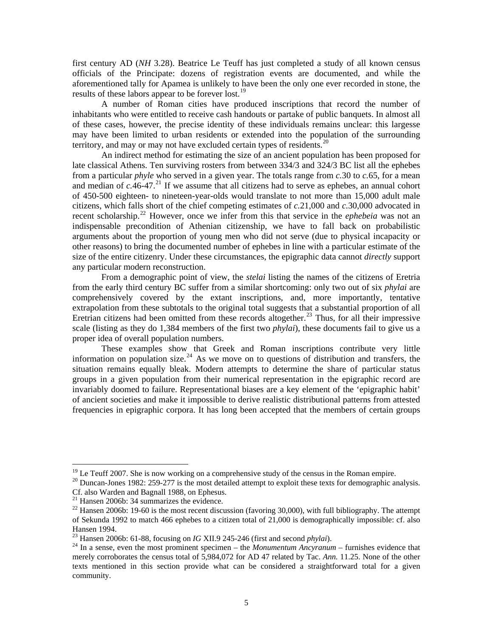first century AD (*NH* 3.28). Beatrice Le Teuff has just completed a study of all known census officials of the Principate: dozens of registration events are documented, and while the aforementioned tally for Apamea is unlikely to have been the only one ever recorded in stone, the results of these labors appear to be forever lost.<sup>[19](#page-4-0)</sup>

A number of Roman cities have produced inscriptions that record the number of inhabitants who were entitled to receive cash handouts or partake of public banquets. In almost all of these cases, however, the precise identity of these individuals remains unclear: this largesse may have been limited to urban residents or extended into the population of the surrounding territory, and may or may not have excluded certain types of residents.<sup>[20](#page-4-1)</sup>

An indirect method for estimating the size of an ancient population has been proposed for late classical Athens. Ten surviving rosters from between 334/3 and 324/3 BC list all the ephebes from a particular *phyle* who served in a given year. The totals range from *c.*30 to *c.*65, for a mean and median of  $c.46-47$ <sup>[21](#page-4-2)</sup>. If we assume that all citizens had to serve as ephebes, an annual cohort of 450-500 eighteen- to nineteen-year-olds would translate to not more than 15,000 adult male citizens, which falls short of the chief competing estimates of *c.*21,000 and *c.*30,000 advocated in recent scholarship.<sup>[22](#page-4-3)</sup> However, once we infer from this that service in the *ephebeia* was not an indispensable precondition of Athenian citizenship, we have to fall back on probabilistic arguments about the proportion of young men who did not serve (due to physical incapacity or other reasons) to bring the documented number of ephebes in line with a particular estimate of the size of the entire citizenry. Under these circumstances, the epigraphic data cannot *directly* support any particular modern reconstruction.

From a demographic point of view, the *stelai* listing the names of the citizens of Eretria from the early third century BC suffer from a similar shortcoming: only two out of six *phylai* are comprehensively covered by the extant inscriptions, and, more importantly, tentative extrapolation from these subtotals to the original total suggests that a substantial proportion of all Eretrian citizens had been omitted from these records altogether.<sup>[23](#page-4-4)</sup> Thus, for all their impressive scale (listing as they do 1,384 members of the first two *phylai*), these documents fail to give us a proper idea of overall population numbers.

These examples show that Greek and Roman inscriptions contribute very little information on population size.<sup>[24](#page-4-5)</sup> As we move on to questions of distribution and transfers, the situation remains equally bleak. Modern attempts to determine the share of particular status groups in a given population from their numerical representation in the epigraphic record are invariably doomed to failure. Representational biases are a key element of the 'epigraphic habit' of ancient societies and make it impossible to derive realistic distributional patterns from attested frequencies in epigraphic corpora. It has long been accepted that the members of certain groups

 $19$  Le Teuff 2007. She is now working on a comprehensive study of the census in the Roman empire.

<span id="page-4-1"></span><span id="page-4-0"></span> $20$  Duncan-Jones 1982: 259-277 is the most detailed attempt to exploit these texts for demographic analysis. Cf. also Warden and Bagnall 1988, on Ephesus.

<span id="page-4-2"></span><sup>&</sup>lt;sup>21</sup> Hansen 2006b: 34 summarizes the evidence.

<span id="page-4-3"></span><sup>&</sup>lt;sup>22</sup> Hansen 2006b: 19-60 is the most recent discussion (favoring 30,000), with full bibliography. The attempt of Sekunda 1992 to match 466 ephebes to a citizen total of 21,000 is demographically impossible: cf. also Hansen 1994.<br><sup>23</sup> Hansen 2006b: 61-88, focusing on *IG XII.9 245-246* (first and second *phylai*).

<span id="page-4-5"></span><span id="page-4-4"></span> $24$  In a sense, even the most prominent specimen – the *Monumentum Ancyranum* – furnishes evidence that merely corroborates the census total of 5,984,072 for AD 47 related by Tac. *Ann.* 11.25. None of the other texts mentioned in this section provide what can be considered a straightforward total for a given community.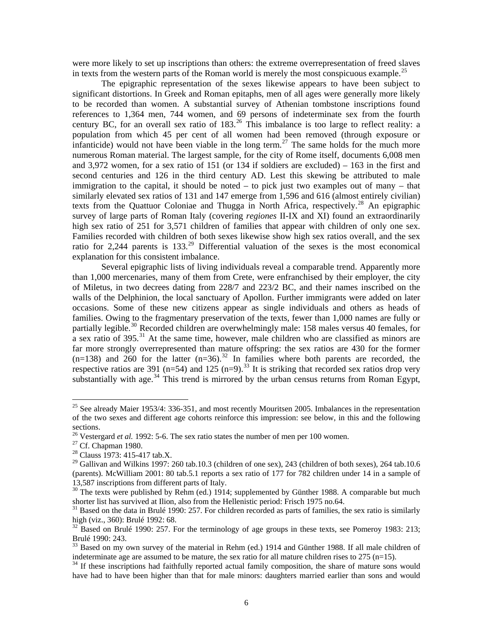were more likely to set up inscriptions than others: the extreme overrepresentation of freed slaves in texts from the western parts of the Roman world is merely the most conspicuous example.<sup>[25](#page-5-0)</sup>

The epigraphic representation of the sexes likewise appears to have been subject to significant distortions. In Greek and Roman epitaphs, men of all ages were generally more likely to be recorded than women. A substantial survey of Athenian tombstone inscriptions found references to 1,364 men, 744 women, and 69 persons of indeterminate sex from the fourth century BC, for an overall sex ratio of  $183<sup>26</sup>$  $183<sup>26</sup>$  $183<sup>26</sup>$ . This imbalance is too large to reflect reality: a population from which 45 per cent of all women had been removed (through exposure or infanticide) would not have been viable in the long term.<sup>[27](#page-5-2)</sup> The same holds for the much more numerous Roman material. The largest sample, for the city of Rome itself, documents 6,008 men and 3,972 women, for a sex ratio of 151 (or 134 if soldiers are excluded) – 163 in the first and second centuries and 126 in the third century AD. Lest this skewing be attributed to male immigration to the capital, it should be noted – to pick just two examples out of many – that similarly elevated sex ratios of 131 and 147 emerge from 1,596 and 616 (almost entirely civilian) texts from the Quattuor Coloniae and Thugga in North Africa, respectively.<sup>[28](#page-5-3)</sup> An epigraphic survey of large parts of Roman Italy (covering *regiones* II-IX and XI) found an extraordinarily high sex ratio of 251 for 3,571 children of families that appear with children of only one sex. Families recorded with children of both sexes likewise show high sex ratios overall, and the sex ratio for 2,244 parents is  $133.<sup>29</sup>$  $133.<sup>29</sup>$  $133.<sup>29</sup>$  Differential valuation of the sexes is the most economical explanation for this consistent imbalance.

Several epigraphic lists of living individuals reveal a comparable trend. Apparently more than 1,000 mercenaries, many of them from Crete, were enfranchised by their employer, the city of Miletus, in two decrees dating from 228/7 and 223/2 BC, and their names inscribed on the walls of the Delphinion, the local sanctuary of Apollon. Further immigrants were added on later occasions. Some of these new citizens appear as single individuals and others as heads of families. Owing to the fragmentary preservation of the texts, fewer than 1,000 names are fully or partially legible.<sup>[30](#page-5-5)</sup> Recorded children are overwhelmingly male: 158 males versus 40 females, for a sex ratio of 395.<sup>[31](#page-5-6)</sup> At the same time, however, male children who are classified as minors are far more strongly overrepresented than mature offspring: the sex ratios are 430 for the former  $(n=138)$  and 260 for the latter  $(n=36)$ .<sup>[32](#page-5-7)</sup> In families where both parents are recorded, the respective ratios are 391 (n=54) and 125 (n=9).<sup>[33](#page-5-8)</sup> It is striking that recorded sex ratios drop very substantially with age.<sup>[34](#page-5-9)</sup> This trend is mirrored by the urban census returns from Roman Egypt,

<span id="page-5-0"></span><sup>&</sup>lt;sup>25</sup> See already Maier 1953/4: 336-351, and most recently Mouritsen 2005. Imbalances in the representation of the two sexes and different age cohorts reinforce this impression: see below, in this and the following sections.

<sup>&</sup>lt;sup>26</sup> Vestergard *et al.* 1992: 5-6. The sex ratio states the number of men per 100 women. <sup>27</sup> Cf. Chapman 1980.

<span id="page-5-2"></span><span id="page-5-1"></span><sup>&</sup>lt;sup>27</sup> Cf. Chapman 1980.<br><sup>28</sup> Clauss 1973: 415-417 tab.X.

<span id="page-5-4"></span><span id="page-5-3"></span> $29$  Gallivan and Wilkins 1997: 260 tab.10.3 (children of one sex), 243 (children of both sexes), 264 tab.10.6 (parents). McWilliam 2001: 80 tab.5.1 reports a sex ratio of 177 for 782 children under 14 in a sample of 13,587 inscriptions from different parts of Italy.

<span id="page-5-5"></span> $30$  The texts were published by Rehm (ed.) 1914; supplemented by Günther 1988. A comparable but much shorter list has survived at Ilion, also from the Hellenistic period: Frisch 1975 no.64.

<span id="page-5-6"></span> $31$  Based on the data in Brulé 1990: 257. For children recorded as parts of families, the sex ratio is similarly high (viz., 360): Brulé 1992: 68.

<span id="page-5-7"></span> $32$  Based on Brulé 1990: 257. For the terminology of age groups in these texts, see Pomeroy 1983: 213; Brulé 1990: 243.

<span id="page-5-8"></span><sup>&</sup>lt;sup>33</sup> Based on my own survey of the material in Rehm (ed.) 1914 and Günther 1988. If all male children of indeterminate age are assumed to be mature, the sex ratio for all mature children rises to 275 (n=15).

<span id="page-5-9"></span><sup>&</sup>lt;sup>34</sup> If these inscriptions had faithfully reported actual family composition, the share of mature sons would have had to have been higher than that for male minors: daughters married earlier than sons and would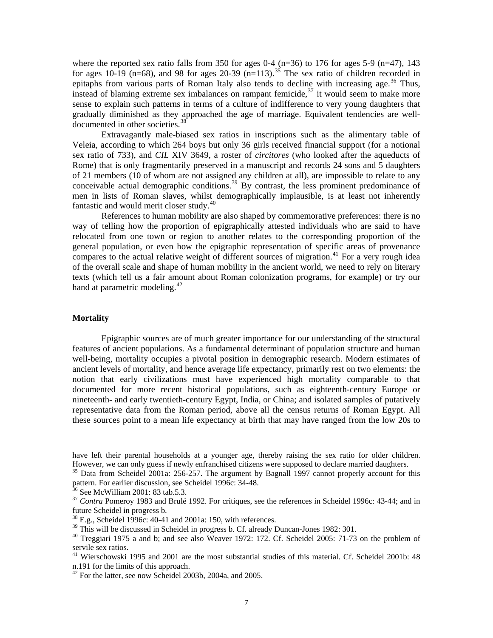where the reported sex ratio falls from 350 for ages 0-4 ( $n=36$ ) to 176 for ages 5-9 ( $n=47$ ), 143 for ages 10-19 (n=68), and 98 for ages 20-39 (n=113).<sup>[35](#page-6-0)</sup> The sex ratio of children recorded in epitaphs from various parts of Roman Italy also tends to decline with increasing age.<sup>[36](#page-6-1)</sup> Thus, instead of blaming extreme sex imbalances on rampant femicide,<sup>[37](#page-6-2)</sup> it would seem to make more sense to explain such patterns in terms of a culture of indifference to very young daughters that gradually diminished as they approached the age of marriage. Equivalent tendencies are welldocumented in other societies.<sup>3</sup>

Extravagantly male-biased sex ratios in inscriptions such as the alimentary table of Veleia, according to which 264 boys but only 36 girls received financial support (for a notional sex ratio of 733), and *CIL* XIV 3649, a roster of *circitores* (who looked after the aqueducts of Rome) that is only fragmentarily preserved in a manuscript and records 24 sons and 5 daughters of 21 members (10 of whom are not assigned any children at all), are impossible to relate to any conceivable actual demographic conditions.<sup>[39](#page-6-4)</sup> By contrast, the less prominent predominance of men in lists of Roman slaves, whilst demographically implausible, is at least not inherently fantastic and would merit closer study.[40](#page-6-5)

References to human mobility are also shaped by commemorative preferences: there is no way of telling how the proportion of epigraphically attested individuals who are said to have relocated from one town or region to another relates to the corresponding proportion of the general population, or even how the epigraphic representation of specific areas of provenance compares to the actual relative weight of different sources of migration.<sup>[41](#page-6-6)</sup> For a very rough idea of the overall scale and shape of human mobility in the ancient world, we need to rely on literary texts (which tell us a fair amount about Roman colonization programs, for example) or try our hand at parametric modeling. $42$ 

#### **Mortality**

Epigraphic sources are of much greater importance for our understanding of the structural features of ancient populations. As a fundamental determinant of population structure and human well-being, mortality occupies a pivotal position in demographic research. Modern estimates of ancient levels of mortality, and hence average life expectancy, primarily rest on two elements: the notion that early civilizations must have experienced high mortality comparable to that documented for more recent historical populations, such as eighteenth-century Europe or nineteenth- and early twentieth-century Egypt, India, or China; and isolated samples of putatively representative data from the Roman period, above all the census returns of Roman Egypt. All these sources point to a mean life expectancy at birth that may have ranged from the low 20s to

have left their parental households at a younger age, thereby raising the sex ratio for older children. However, we can only guess if newly enfranchised citizens were supposed to declare married daughters.<br><sup>35</sup> Data from Scheidel 2001a: 256-257. The argument by Bagnall 1997 cannot properly account for this

<span id="page-6-0"></span>pattern. For earlier discussion, see Scheidel 1996c: 34-48.<br><sup>36</sup> See McWilliam 2001: 83 tab.5.3.

<span id="page-6-2"></span><span id="page-6-1"></span><sup>&</sup>lt;sup>37</sup> *Contra* Pomeroy 1983 and Brulé 1992. For critiques, see the references in Scheidel 1996c: 43-44; and in future Scheidel in progress b.

<span id="page-6-3"></span> $^{38}$  E.g., Scheidel 1996c: 40-41 and 2001a: 150, with references.<br><sup>39</sup> This will be discussed in Scheidel in progress b. Cf. already Duncan-Jones 1982: 301.

<span id="page-6-5"></span><span id="page-6-4"></span> $30$ <sup>40</sup> Treggiari 1975 a and b; and see also Weaver 1972: 172. Cf. Scheidel 2005: 71-73 on the problem of servile sex ratios.

<span id="page-6-6"></span><sup>&</sup>lt;sup>41</sup> Wierschowski 1995 and 2001 are the most substantial studies of this material. Cf. Scheidel 2001b: 48 n.191 for the limits of this approach.

<span id="page-6-7"></span><sup>&</sup>lt;sup>42</sup> For the latter, see now Scheidel 2003b, 2004a, and 2005.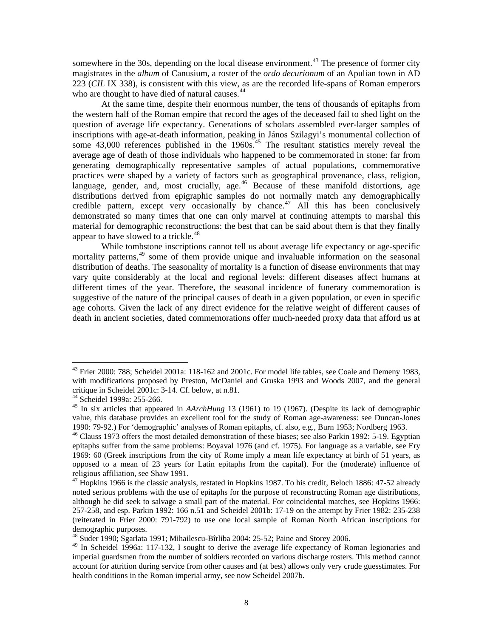somewhere in the 30s, depending on the local disease environment.<sup>[43](#page-7-0)</sup> The presence of former city magistrates in the *album* of Canusium, a roster of the *ordo decurionum* of an Apulian town in AD 223 (*CIL* IX 338), is consistent with this view, as are the recorded life-spans of Roman emperors who are thought to have died of natural causes.<sup>[44](#page-7-1)</sup>

At the same time, despite their enormous number, the tens of thousands of epitaphs from the western half of the Roman empire that record the ages of the deceased fail to shed light on the question of average life expectancy. Generations of scholars assembled ever-larger samples of inscriptions with age-at-death information, peaking in János Szilagyi's monumental collection of some  $43,000$  references published in the  $1960s$ .<sup>[45](#page-7-2)</sup> The resultant statistics merely reveal the average age of death of those individuals who happened to be commemorated in stone: far from generating demographically representative samples of actual populations, commemorative practices were shaped by a variety of factors such as geographical provenance, class, religion, language, gender, and, most crucially, age.<sup>[46](#page-7-3)</sup> Because of these manifold distortions, age distributions derived from epigraphic samples do not normally match any demographically credible pattern, except very occasionally by chance.<sup>[47](#page-7-4)</sup> All this has been conclusively demonstrated so many times that one can only marvel at continuing attempts to marshal this material for demographic reconstructions: the best that can be said about them is that they finally appear to have slowed to a trickle.<sup>[48](#page-7-5)</sup>

While tombstone inscriptions cannot tell us about average life expectancy or age-specific mortality patterns,<sup>[49](#page-7-6)</sup> some of them provide unique and invaluable information on the seasonal distribution of deaths. The seasonality of mortality is a function of disease environments that may vary quite considerably at the local and regional levels: different diseases affect humans at different times of the year. Therefore, the seasonal incidence of funerary commemoration is suggestive of the nature of the principal causes of death in a given population, or even in specific age cohorts. Given the lack of any direct evidence for the relative weight of different causes of death in ancient societies, dated commemorations offer much-needed proxy data that afford us at

<span id="page-7-0"></span><sup>&</sup>lt;sup>43</sup> Frier 2000: 788; Scheidel 2001a: 118-162 and 2001c. For model life tables, see Coale and Demeny 1983, with modifications proposed by Preston, McDaniel and Gruska 1993 and Woods 2007, and the general critique in Scheidel 2001c: 3-14. Cf. below, at n.81.

<span id="page-7-1"></span><sup>44</sup> Scheidel 1999a: 255-266.

<span id="page-7-2"></span><sup>45</sup> In six articles that appeared in *AArchHung* 13 (1961) to 19 (1967). (Despite its lack of demographic value, this database provides an excellent tool for the study of Roman age-awareness: see Duncan-Jones 1990: 79-92.) For 'demographic' analyses of Roman epitaphs, cf. also, e.g., Burn 1953; Nordberg 1963.

<span id="page-7-3"></span><sup>&</sup>lt;sup>46</sup> Clauss 1973 offers the most detailed demonstration of these biases; see also Parkin 1992: 5-19. Egyptian epitaphs suffer from the same problems: Boyaval 1976 (and cf. 1975). For language as a variable, see Ery 1969: 60 (Greek inscriptions from the city of Rome imply a mean life expectancy at birth of 51 years, as opposed to a mean of 23 years for Latin epitaphs from the capital). For the (moderate) influence of religious affiliation, see Shaw 1991.

<span id="page-7-4"></span> $^{47}$  Hopkins 1966 is the classic analysis, restated in Hopkins 1987. To his credit, Beloch 1886: 47-52 already noted serious problems with the use of epitaphs for the purpose of reconstructing Roman age distributions, although he did seek to salvage a small part of the material. For coincidental matches, see Hopkins 1966: 257-258, and esp. Parkin 1992: 166 n.51 and Scheidel 2001b: 17-19 on the attempt by Frier 1982: 235-238 (reiterated in Frier 2000: 791-792) to use one local sample of Roman North African inscriptions for demographic purposes.

<sup>48</sup> Suder 1990; Sgarlata 1991; Mihailescu-Bîrliba 2004: 25-52; Paine and Storey 2006.

<span id="page-7-6"></span><span id="page-7-5"></span><sup>&</sup>lt;sup>49</sup> In Scheidel 1996a: 117-132, I sought to derive the average life expectancy of Roman legionaries and imperial guardsmen from the number of soldiers recorded on various discharge rosters. This method cannot account for attrition during service from other causes and (at best) allows only very crude guesstimates. For health conditions in the Roman imperial army, see now Scheidel 2007b.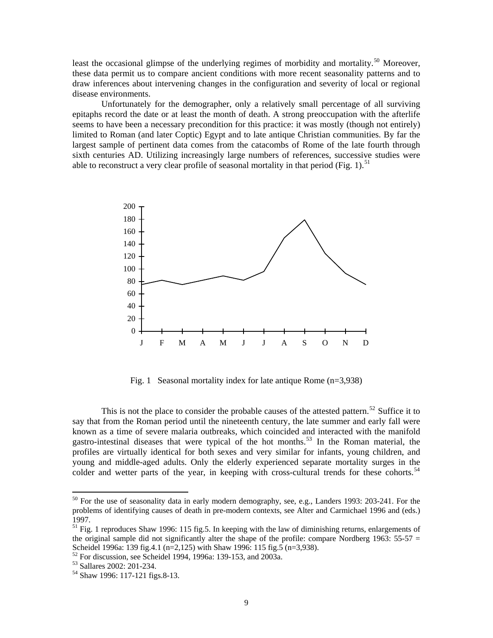least the occasional glimpse of the underlying regimes of morbidity and mortality.<sup>[50](#page-8-0)</sup> Moreover, these data permit us to compare ancient conditions with more recent seasonality patterns and to draw inferences about intervening changes in the configuration and severity of local or regional disease environments.

Unfortunately for the demographer, only a relatively small percentage of all surviving epitaphs record the date or at least the month of death. A strong preoccupation with the afterlife seems to have been a necessary precondition for this practice: it was mostly (though not entirely) limited to Roman (and later Coptic) Egypt and to late antique Christian communities. By far the largest sample of pertinent data comes from the catacombs of Rome of the late fourth through sixth centuries AD. Utilizing increasingly large numbers of references, successive studies were able to reconstruct a very clear profile of seasonal mortality in that period (Fig. 1).<sup>[51](#page-8-1)</sup>



Fig. 1 Seasonal mortality index for late antique Rome (n=3,938)

This is not the place to consider the probable causes of the attested pattern.<sup>[52](#page-8-2)</sup> Suffice it to say that from the Roman period until the nineteenth century, the late summer and early fall were known as a time of severe malaria outbreaks, which coincided and interacted with the manifold gastro-intestinal diseases that were typical of the hot months.<sup>[53](#page-8-3)</sup> In the Roman material, the profiles are virtually identical for both sexes and very similar for infants, young children, and young and middle-aged adults. Only the elderly experienced separate mortality surges in the colder and wetter parts of the year, in keeping with cross-cultural trends for these cohorts.<sup>[54](#page-8-4)</sup>

<span id="page-8-0"></span><sup>&</sup>lt;sup>50</sup> For the use of seasonality data in early modern demography, see, e.g., Landers 1993: 203-241. For the problems of identifying causes of death in pre-modern contexts, see Alter and Carmichael 1996 and (eds.) 1997.

<span id="page-8-1"></span> $<sup>51</sup>$  Fig. 1 reproduces Shaw 1996: 115 fig. 5. In keeping with the law of diminishing returns, enlargements of</sup> the original sample did not significantly alter the shape of the profile: compare Nordberg 1963:  $55-57 =$ Scheidel 1996a: 139 fig.4.1 (n=2,125) with Shaw 1996: 115 fig.5 (n=3,938).

 $52$  For discussion, see Scheidel 1994, 1996a: 139-153, and 2003a.

<span id="page-8-3"></span><span id="page-8-2"></span><sup>53</sup> Sallares 2002: 201-234.

<span id="page-8-4"></span><sup>54</sup> Shaw 1996: 117-121 figs.8-13.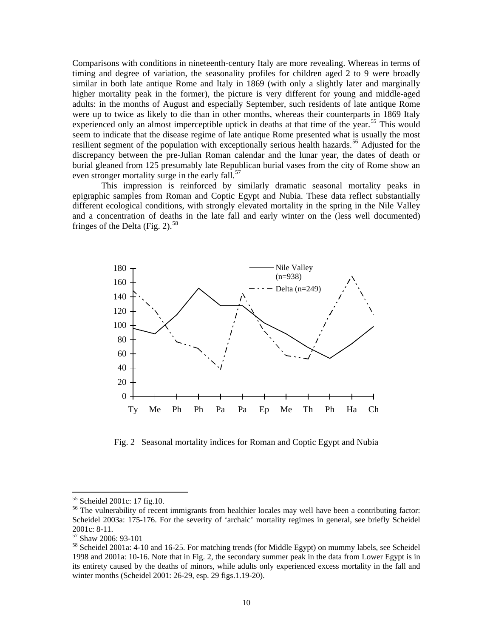Comparisons with conditions in nineteenth-century Italy are more revealing. Whereas in terms of timing and degree of variation, the seasonality profiles for children aged 2 to 9 were broadly similar in both late antique Rome and Italy in 1869 (with only a slightly later and marginally higher mortality peak in the former), the picture is very different for young and middle-aged adults: in the months of August and especially September, such residents of late antique Rome were up to twice as likely to die than in other months, whereas their counterparts in 1869 Italy experienced only an almost imperceptible uptick in deaths at that time of the year.<sup>[55](#page-9-0)</sup> This would seem to indicate that the disease regime of late antique Rome presented what is usually the most resilient segment of the population with exceptionally serious health hazards.<sup>[56](#page-9-1)</sup> Adjusted for the discrepancy between the pre-Julian Roman calendar and the lunar year, the dates of death or burial gleaned from 125 presumably late Republican burial vases from the city of Rome show an even stronger mortality surge in the early fall.<sup>[57](#page-9-2)</sup>

This impression is reinforced by similarly dramatic seasonal mortality peaks in epigraphic samples from Roman and Coptic Egypt and Nubia. These data reflect substantially different ecological conditions, with strongly elevated mortality in the spring in the Nile Valley and a concentration of deaths in the late fall and early winter on the (less well documented) fringes of the Delta (Fig. 2).<sup>[58](#page-9-3)</sup>



Fig. 2 Seasonal mortality indices for Roman and Coptic Egypt and Nubia

<sup>55</sup> Scheidel 2001c: 17 fig.10.

<span id="page-9-1"></span><span id="page-9-0"></span><sup>&</sup>lt;sup>56</sup> The vulnerability of recent immigrants from healthier locales may well have been a contributing factor: Scheidel 2003a: 175-176. For the severity of 'archaic' mortality regimes in general, see briefly Scheidel 2001c: 8-11.

<span id="page-9-2"></span><sup>57</sup> Shaw 2006: 93-101

<span id="page-9-3"></span><sup>&</sup>lt;sup>58</sup> Scheidel 2001a: 4-10 and 16-25. For matching trends (for Middle Egypt) on mummy labels, see Scheidel 1998 and 2001a: 10-16. Note that in Fig. 2, the secondary summer peak in the data from Lower Egypt is in its entirety caused by the deaths of minors, while adults only experienced excess mortality in the fall and winter months (Scheidel 2001: 26-29, esp. 29 figs.1.19-20).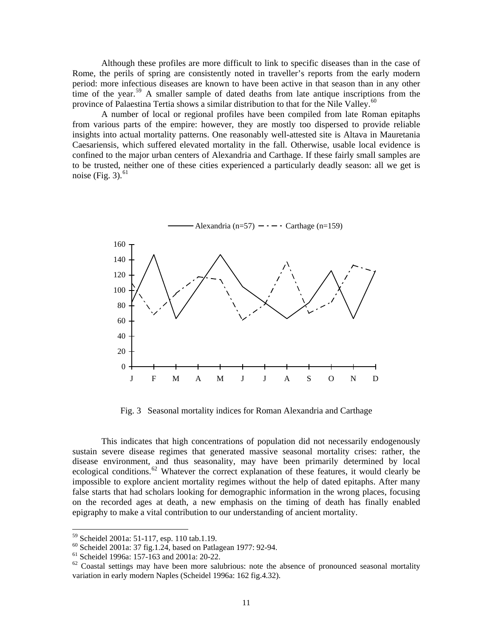Although these profiles are more difficult to link to specific diseases than in the case of Rome, the perils of spring are consistently noted in traveller's reports from the early modern period: more infectious diseases are known to have been active in that season than in any other time of the year.<sup>[59](#page-10-0)</sup> A smaller sample of dated deaths from late antique inscriptions from the province of Palaestina Tertia shows a similar distribution to that for the Nile Valley.<sup>[60](#page-10-1)</sup>

A number of local or regional profiles have been compiled from late Roman epitaphs from various parts of the empire: however, they are mostly too dispersed to provide reliable insights into actual mortality patterns. One reasonably well-attested site is Altava in Mauretania Caesariensis, which suffered elevated mortality in the fall. Otherwise, usable local evidence is confined to the major urban centers of Alexandria and Carthage. If these fairly small samples are to be trusted, neither one of these cities experienced a particularly deadly season: all we get is noise (Fig. 3). $^{61}$  $^{61}$  $^{61}$ 



Fig. 3 Seasonal mortality indices for Roman Alexandria and Carthage

This indicates that high concentrations of population did not necessarily endogenously sustain severe disease regimes that generated massive seasonal mortality crises: rather, the disease environment, and thus seasonality, may have been primarily determined by local ecological conditions.<sup>[62](#page-10-3)</sup> Whatever the correct explanation of these features, it would clearly be impossible to explore ancient mortality regimes without the help of dated epitaphs. After many false starts that had scholars looking for demographic information in the wrong places, focusing on the recorded ages at death, a new emphasis on the timing of death has finally enabled epigraphy to make a vital contribution to our understanding of ancient mortality.

<sup>59</sup> Scheidel 2001a: 51-117, esp. 110 tab.1.19.

<span id="page-10-1"></span><span id="page-10-0"></span> $60$  Scheidel 2001a: 37 fig.1.24, based on Patlagean 1977: 92-94.

<span id="page-10-2"></span><sup>61</sup> Scheidel 1996a: 157-163 and 2001a: 20-22.

<span id="page-10-3"></span> $62$  Coastal settings may have been more salubrious: note the absence of pronounced seasonal mortality variation in early modern Naples (Scheidel 1996a: 162 fig.4.32).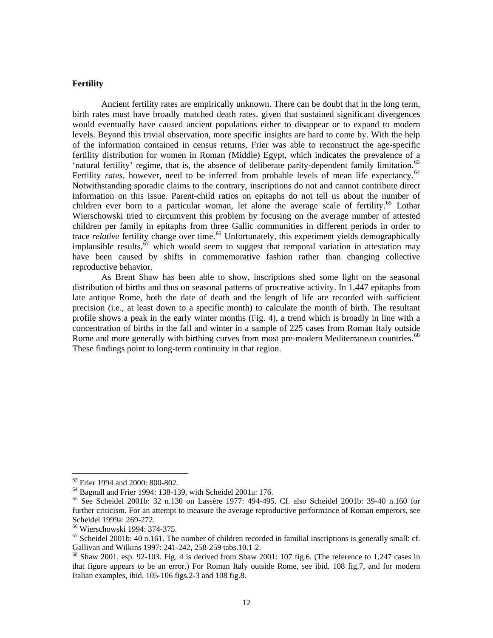#### **Fertility**

Ancient fertility rates are empirically unknown. There can be doubt that in the long term, birth rates must have broadly matched death rates, given that sustained significant divergences would eventually have caused ancient populations either to disappear or to expand to modern levels. Beyond this trivial observation, more specific insights are hard to come by. With the help of the information contained in census returns, Frier was able to reconstruct the age-specific fertility distribution for women in Roman (Middle) Egypt, which indicates the prevalence of a 'natural fertility' regime, that is, the absence of deliberate parity-dependent family limitation.<sup>[63](#page-11-0)</sup> Fertility *rates*, however, need to be inferred from probable levels of mean life expectancy.<sup>[64](#page-11-1)</sup> Notwithstanding sporadic claims to the contrary, inscriptions do not and cannot contribute direct information on this issue. Parent-child ratios on epitaphs do not tell us about the number of children ever born to a particular woman, let alone the average scale of fertility.<sup>[65](#page-11-2)</sup> Lothar Wierschowski tried to circumvent this problem by focusing on the average number of attested children per family in epitaphs from three Gallic communities in different periods in order to trace *relative* fertility change over time.<sup>[66](#page-11-3)</sup> Unfortunately, this experiment yields demographically implausible results,<sup>[67](#page-11-4)</sup> which would seem to suggest that temporal variation in attestation may have been caused by shifts in commemorative fashion rather than changing collective reproductive behavior.

As Brent Shaw has been able to show, inscriptions shed some light on the seasonal distribution of births and thus on seasonal patterns of procreative activity. In 1,447 epitaphs from late antique Rome, both the date of death and the length of life are recorded with sufficient precision (i.e., at least down to a specific month) to calculate the month of birth. The resultant profile shows a peak in the early winter months (Fig. 4), a trend which is broadly in line with a concentration of births in the fall and winter in a sample of 225 cases from Roman Italy outside Rome and more generally with birthing curves from most pre-modern Mediterranean countries.<sup>[68](#page-11-5)</sup> These findings point to long-term continuity in that region.

<span id="page-11-0"></span><sup>&</sup>lt;sup>63</sup> Frier 1994 and 2000: 800-802.

<span id="page-11-1"></span><sup>64</sup> Bagnall and Frier 1994: 138-139, with Scheidel 2001a: 176.

<span id="page-11-2"></span><sup>65</sup> See Scheidel 2001b: 32 n.130 on Lassère 1977: 494-495. Cf. also Scheidel 2001b: 39-40 n.160 for further criticism. For an attempt to measure the average reproductive performance of Roman emperors, see Scheidel 1999a: 269-272.

<span id="page-11-3"></span><sup>66</sup> Wierschowski 1994: 374-375.

<span id="page-11-4"></span> $67$  Scheidel 2001b: 40 n.161. The number of children recorded in familial inscriptions is generally small: cf. Gallivan and Wilkins 1997: 241-242, 258-259 tabs.10.1-2.

<span id="page-11-5"></span><sup>68</sup> Shaw 2001, esp. 92-103. Fig. 4 is derived from Shaw 2001: 107 fig.6. (The reference to 1,247 cases in that figure appears to be an error.) For Roman Italy outside Rome, see ibid. 108 fig.7, and for modern Italian examples, ibid. 105-106 figs.2-3 and 108 fig.8.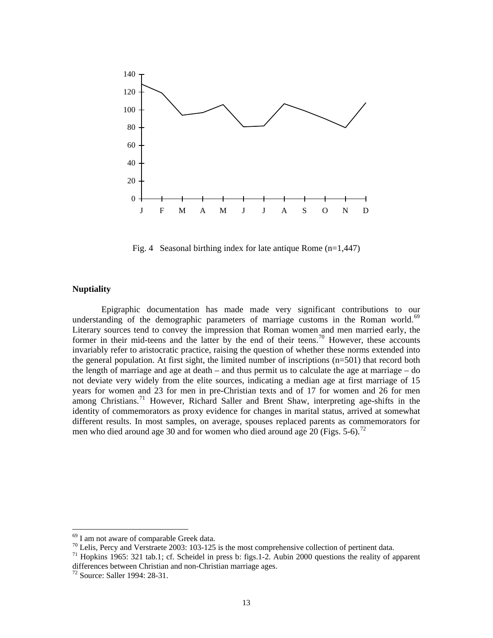

Fig. 4 Seasonal birthing index for late antique Rome (n=1,447)

### **Nuptiality**

Epigraphic documentation has made made very significant contributions to our understanding of the demographic parameters of marriage customs in the Roman world. $69$ Literary sources tend to convey the impression that Roman women and men married early, the former in their mid-teens and the latter by the end of their teens.<sup>[70](#page-12-1)</sup> However, these accounts invariably refer to aristocratic practice, raising the question of whether these norms extended into the general population. At first sight, the limited number of inscriptions (n=501) that record both the length of marriage and age at death – and thus permit us to calculate the age at marriage – do not deviate very widely from the elite sources, indicating a median age at first marriage of 15 years for women and 23 for men in pre-Christian texts and of 17 for women and 26 for men among Christians.<sup>[71](#page-12-2)</sup> However, Richard Saller and Brent Shaw, interpreting age-shifts in the identity of commemorators as proxy evidence for changes in marital status, arrived at somewhat different results. In most samples, on average, spouses replaced parents as commemorators for men who died around age 30 and for women who died around age 20 (Figs. 5-6).<sup>[72](#page-12-3)</sup>

<sup>&</sup>lt;sup>69</sup> I am not aware of comparable Greek data.

<span id="page-12-1"></span><span id="page-12-0"></span> $70$  Lelis, Percy and Verstraete 2003: 103-125 is the most comprehensive collection of pertinent data.

<span id="page-12-2"></span><sup>71</sup> Hopkins 1965: 321 tab.1; cf. Scheidel in press b: figs.1-2. Aubin 2000 questions the reality of apparent differences between Christian and non-Christian marriage ages.<br><sup>72</sup> Source: Saller 1994: 28-31.

<span id="page-12-3"></span>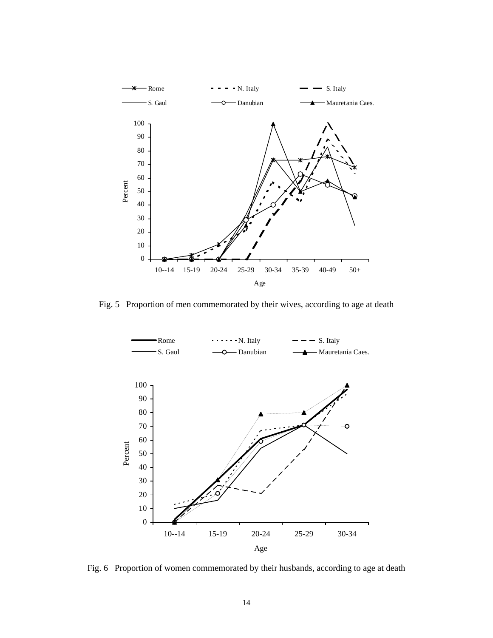

Fig. 5 Proportion of men commemorated by their wives, according to age at death



Fig. 6 Proportion of women commemorated by their husbands, according to age at death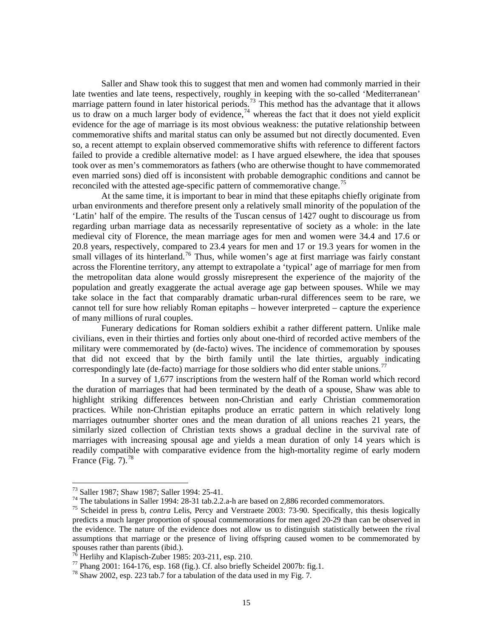Saller and Shaw took this to suggest that men and women had commonly married in their late twenties and late teens, respectively, roughly in keeping with the so-called 'Mediterranean' marriage pattern found in later historical periods.<sup>[73](#page-14-0)</sup> This method has the advantage that it allows us to draw on a much larger body of evidence,  $\frac{1}{4}$  whereas the fact that it does not yield explicit evidence for the age of marriage is its most obvious weakness: the putative relationship between commemorative shifts and marital status can only be assumed but not directly documented. Even so, a recent attempt to explain observed commemorative shifts with reference to different factors failed to provide a credible alternative model: as I have argued elsewhere, the idea that spouses took over as men's commemorators as fathers (who are otherwise thought to have commemorated even married sons) died off is inconsistent with probable demographic conditions and cannot be reconciled with the attested age-specific pattern of commemorative change.<sup>[75](#page-14-2)</sup>

At the same time, it is important to bear in mind that these epitaphs chiefly originate from urban environments and therefore present only a relatively small minority of the population of the 'Latin' half of the empire. The results of the Tuscan census of 1427 ought to discourage us from regarding urban marriage data as necessarily representative of society as a whole: in the late medieval city of Florence, the mean marriage ages for men and women were 34.4 and 17.6 or 20.8 years, respectively, compared to 23.4 years for men and 17 or 19.3 years for women in the small villages of its hinterland.<sup>[76](#page-14-3)</sup> Thus, while women's age at first marriage was fairly constant across the Florentine territory, any attempt to extrapolate a 'typical' age of marriage for men from the metropolitan data alone would grossly misrepresent the experience of the majority of the population and greatly exaggerate the actual average age gap between spouses. While we may take solace in the fact that comparably dramatic urban-rural differences seem to be rare, we cannot tell for sure how reliably Roman epitaphs – however interpreted – capture the experience of many millions of rural couples.

Funerary dedications for Roman soldiers exhibit a rather different pattern. Unlike male civilians, even in their thirties and forties only about one-third of recorded active members of the military were commemorated by (de-facto) wives. The incidence of commemoration by spouses that did not exceed that by the birth family until the late thirties, arguably indicating correspondingly late (de-facto) marriage for those soldiers who did enter stable unions.<sup>[77](#page-14-4)</sup>

In a survey of 1,677 inscriptions from the western half of the Roman world which record the duration of marriages that had been terminated by the death of a spouse, Shaw was able to highlight striking differences between non-Christian and early Christian commemoration practices. While non-Christian epitaphs produce an erratic pattern in which relatively long marriages outnumber shorter ones and the mean duration of all unions reaches 21 years, the similarly sized collection of Christian texts shows a gradual decline in the survival rate of marriages with increasing spousal age and yields a mean duration of only 14 years which is readily compatible with comparative evidence from the high-mortality regime of early modern France (Fig.  $7^{\frac{78}{3}}$  $7^{\frac{78}{3}}$  $7^{\frac{78}{3}}$ 

<sup>73</sup> Saller 1987; Shaw 1987; Saller 1994: 25-41.

<span id="page-14-1"></span><span id="page-14-0"></span><sup>&</sup>lt;sup>74</sup> The tabulations in Saller 1994: 28-31 tab.2.2.a-h are based on 2,886 recorded commemorators.

<span id="page-14-2"></span><sup>75</sup> Scheidel in press b, *contra* Lelis, Percy and Verstraete 2003: 73-90. Specifically, this thesis logically predicts a much larger proportion of spousal commemorations for men aged 20-29 than can be observed in the evidence. The nature of the evidence does not allow us to distinguish statistically between the rival assumptions that marriage or the presence of living offspring caused women to be commemorated by spouses rather than parents (ibid.).

 $^{76}$  Herlihy and Klapisch-Zuber 1985: 203-211, esp. 210.

<span id="page-14-4"></span><span id="page-14-3"></span> $^{77}$  Phang 2001: 164-176, esp. 168 (fig.). Cf. also briefly Scheidel 2007b: fig.1.

<span id="page-14-5"></span> $^{78}$  Shaw 2002, esp. 223 tab.7 for a tabulation of the data used in my Fig. 7.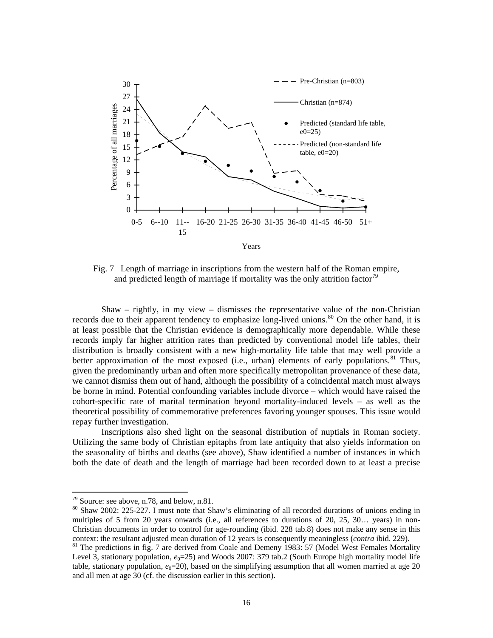

Fig. 7 Length of marriage in inscriptions from the western half of the Roman empire, and predicted length of marriage if mortality was the only attrition factor<sup>[79](#page-15-0)</sup>

Shaw – rightly, in my view – dismisses the representative value of the non-Christian records due to their apparent tendency to emphasize long-lived unions.<sup>[80](#page-15-1)</sup> On the other hand, it is at least possible that the Christian evidence is demographically more dependable. While these records imply far higher attrition rates than predicted by conventional model life tables, their distribution is broadly consistent with a new high-mortality life table that may well provide a better approximation of the most exposed (i.e., urban) elements of early populations.<sup>[81](#page-15-2)</sup> Thus, given the predominantly urban and often more specifically metropolitan provenance of these data, we cannot dismiss them out of hand, although the possibility of a coincidental match must always be borne in mind. Potential confounding variables include divorce – which would have raised the cohort-specific rate of marital termination beyond mortality-induced levels – as well as the theoretical possibility of commemorative preferences favoring younger spouses. This issue would repay further investigation.

Inscriptions also shed light on the seasonal distribution of nuptials in Roman society. Utilizing the same body of Christian epitaphs from late antiquity that also yields information on the seasonality of births and deaths (see above), Shaw identified a number of instances in which both the date of death and the length of marriage had been recorded down to at least a precise

<span id="page-15-0"></span><sup>79</sup> Source: see above, n.78, and below, n.81.

<span id="page-15-1"></span><sup>80</sup> Shaw 2002: 225-227. I must note that Shaw's eliminating of all recorded durations of unions ending in multiples of 5 from 20 years onwards (i.e., all references to durations of 20, 25, 30… years) in non-Christian documents in order to control for age-rounding (ibid. 228 tab.8) does not make any sense in this context: the resultant adjusted mean duration of 12 years is consequently meaningless (*contra* ibid. 229).

<span id="page-15-2"></span><sup>&</sup>lt;sup>81</sup> The predictions in fig. 7 are derived from Coale and Demeny 1983: 57 (Model West Females Mortality Level 3, stationary population,  $e_0$ =25) and Woods 2007: 379 tab.2 (South Europe high mortality model life table, stationary population,  $e_0=20$ ), based on the simplifying assumption that all women married at age 20 and all men at age 30 (cf. the discussion earlier in this section).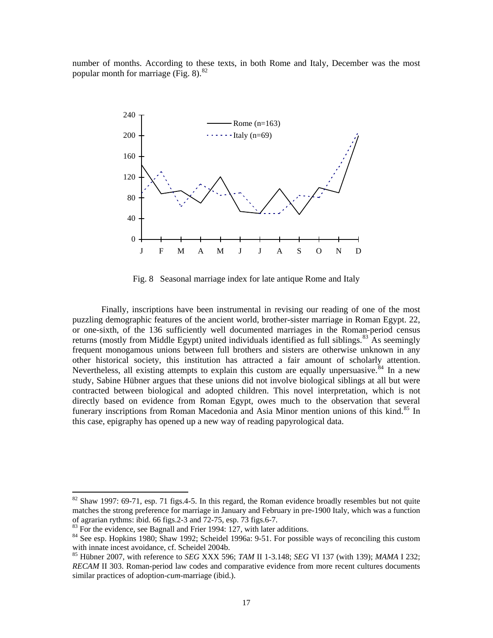number of months. According to these texts, in both Rome and Italy, December was the most popular month for marriage (Fig.  $8$ ).<sup>[82](#page-16-0)</sup>



Fig. 8 Seasonal marriage index for late antique Rome and Italy

Finally, inscriptions have been instrumental in revising our reading of one of the most puzzling demographic features of the ancient world, brother-sister marriage in Roman Egypt. 22, or one-sixth, of the 136 sufficiently well documented marriages in the Roman-period census returns (mostly from Middle Egypt) united individuals identified as full siblings.<sup>[83](#page-16-1)</sup> As seemingly frequent monogamous unions between full brothers and sisters are otherwise unknown in any other historical society, this institution has attracted a fair amount of scholarly attention. Nevertheless, all existing attempts to explain this custom are equally unpersuasive.<sup>[84](#page-16-2)</sup> In a new study, Sabine Hübner argues that these unions did not involve biological siblings at all but were contracted between biological and adopted children. This novel interpretation, which is not directly based on evidence from Roman Egypt, owes much to the observation that several funerary inscriptions from Roman Macedonia and Asia Minor mention unions of this kind.<sup>[85](#page-16-3)</sup> In this case, epigraphy has opened up a new way of reading papyrological data.

<span id="page-16-0"></span> $82$  Shaw 1997: 69-71, esp. 71 figs. 4-5. In this regard, the Roman evidence broadly resembles but not quite matches the strong preference for marriage in January and February in pre-1900 Italy, which was a function of agrarian rythms: ibid. 66 figs.2-3 and 72-75, esp. 73 figs.6-7.<br><sup>83</sup> For the evidence, see Bagnall and Frier 1994: 127, with later additions.

<span id="page-16-2"></span><span id="page-16-1"></span><sup>&</sup>lt;sup>84</sup> See esp. Hopkins 1980; Shaw 1992; Scheidel 1996a: 9-51. For possible ways of reconciling this custom with innate incest avoidance, cf. Scheidel 2004b.

<span id="page-16-3"></span><sup>85</sup> Hübner 2007, with reference to *SEG* XXX 596; *TAM* II 1-3.148; *SEG* VI 137 (with 139); *MAMA* I 232; *RECAM* II 303. Roman-period law codes and comparative evidence from more recent cultures documents similar practices of adoption-*cum*-marriage (ibid.).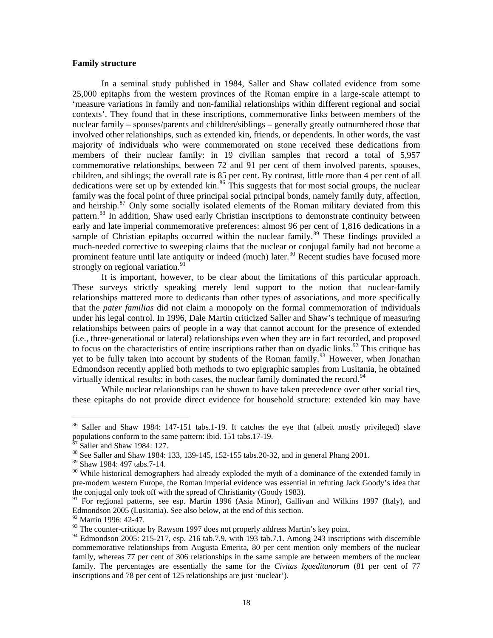#### **Family structure**

In a seminal study published in 1984, Saller and Shaw collated evidence from some 25,000 epitaphs from the western provinces of the Roman empire in a large-scale attempt to 'measure variations in family and non-familial relationships within different regional and social contexts'. They found that in these inscriptions, commemorative links between members of the nuclear family – spouses/parents and children/siblings – generally greatly outnumbered those that involved other relationships, such as extended kin, friends, or dependents. In other words, the vast majority of individuals who were commemorated on stone received these dedications from members of their nuclear family: in 19 civilian samples that record a total of 5,957 commemorative relationships, between 72 and 91 per cent of them involved parents, spouses, children, and siblings; the overall rate is 85 per cent. By contrast, little more than 4 per cent of all dedications were set up by extended kin. $86$  This suggests that for most social groups, the nuclear family was the focal point of three principal social principal bonds, namely family duty, affection, and heirship.<sup>[87](#page-17-1)</sup> Only some socially isolated elements of the Roman military deviated from this pattern.<sup>[88](#page-17-2)</sup> In addition, Shaw used early Christian inscriptions to demonstrate continuity between early and late imperial commemorative preferences: almost 96 per cent of 1,816 dedications in a sample of Christian epitaphs occurred within the nuclear family.<sup>[89](#page-17-3)</sup> These findings provided a much-needed corrective to sweeping claims that the nuclear or conjugal family had not become a prominent feature until late antiquity or indeed (much) later.<sup>[90](#page-17-4)</sup> Recent studies have focused more strongly on regional variation.<sup>[91](#page-17-5)</sup>

It is important, however, to be clear about the limitations of this particular approach. These surveys strictly speaking merely lend support to the notion that nuclear-family relationships mattered more to dedicants than other types of associations, and more specifically that the *pater familias* did not claim a monopoly on the formal commemoration of individuals under his legal control. In 1996, Dale Martin criticized Saller and Shaw's technique of measuring relationships between pairs of people in a way that cannot account for the presence of extended (i.e., three-generational or lateral) relationships even when they are in fact recorded, and proposed to focus on the characteristics of entire inscriptions rather than on dyadic links.<sup>[92](#page-17-6)</sup> This critique has yet to be fully taken into account by students of the Roman family.<sup>[93](#page-17-7)</sup> However, when Jonathan Edmondson recently applied both methods to two epigraphic samples from Lusitania, he obtained virtually identical results: in both cases, the nuclear family dominated the record.<sup>[94](#page-17-8)</sup>

While nuclear relationships can be shown to have taken precedence over other social ties, these epitaphs do not provide direct evidence for household structure: extended kin may have

<span id="page-17-0"></span><sup>&</sup>lt;sup>86</sup> Saller and Shaw 1984: 147-151 tabs.1-19. It catches the eye that (albeit mostly privileged) slave populations conform to the same pattern: ibid. 151 tabs.17-19.

 $87$  Saller and Shaw 1984: 127.

<span id="page-17-2"></span><span id="page-17-1"></span><sup>88</sup> See Saller and Shaw 1984: 133, 139-145, 152-155 tabs. 20-32, and in general Phang 2001.

<span id="page-17-3"></span><sup>89</sup> Shaw 1984: 497 tabs.7-14.

<span id="page-17-4"></span><sup>&</sup>lt;sup>90</sup> While historical demographers had already exploded the myth of a dominance of the extended family in pre-modern western Europe, the Roman imperial evidence was essential in refuting Jack Goody's idea that the conjugal only took off with the spread of Christianity (Goody 1983).

<span id="page-17-5"></span><sup>&</sup>lt;sup>91</sup> For regional patterns, see esp. Martin 1996 (Asia Minor), Gallivan and Wilkins 1997 (Italy), and Edmondson 2005 (Lusitania). See also below, at the end of this section.

<span id="page-17-6"></span><sup>&</sup>lt;sup>92</sup> Martin 1996: 42-47.

 $93$  The counter-critique by Rawson 1997 does not properly address Martin's key point.

<span id="page-17-8"></span><span id="page-17-7"></span><sup>&</sup>lt;sup>94</sup> Edmondson 2005: 215-217, esp. 216 tab.7.9, with 193 tab.7.1. Among 243 inscriptions with discernible commemorative relationships from Augusta Emerita, 80 per cent mention only members of the nuclear family, whereas 77 per cent of 306 relationships in the same sample are between members of the nuclear family. The percentages are essentially the same for the *Civitas Igaeditanorum* (81 per cent of 77 inscriptions and 78 per cent of 125 relationships are just 'nuclear').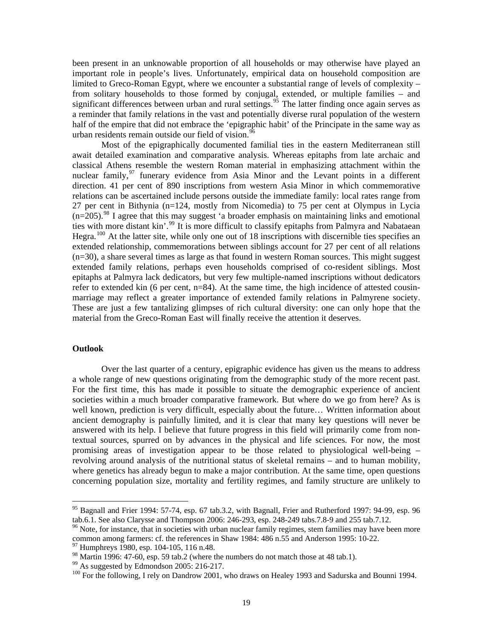been present in an unknowable proportion of all households or may otherwise have played an important role in people's lives. Unfortunately, empirical data on household composition are limited to Greco-Roman Egypt, where we encounter a substantial range of levels of complexity – from solitary households to those formed by conjugal, extended, or multiple families – and significant differences between urban and rural settings.<sup>[95](#page-18-0)</sup> The latter finding once again serves as a reminder that family relations in the vast and potentially diverse rural population of the western half of the empire that did not embrace the 'epigraphic habit' of the Principate in the same way as urban residents remain outside our field of vision.<sup>[96](#page-18-1)</sup>

Most of the epigraphically documented familial ties in the eastern Mediterranean still await detailed examination and comparative analysis. Whereas epitaphs from late archaic and classical Athens resemble the western Roman material in emphasizing attachment within the nuclear family,  $97$  funerary evidence from Asia Minor and the Levant points in a different direction. 41 per cent of 890 inscriptions from western Asia Minor in which commemorative relations can be ascertained include persons outside the immediate family: local rates range from 27 per cent in Bithynia (n=124, mostly from Nicomedia) to 75 per cent at Olympus in Lycia  $(n=205)$ .<sup>[98](#page-18-3)</sup> I agree that this may suggest 'a broader emphasis on maintaining links and emotional ties with more distant kin'.<sup>[99](#page-18-4)</sup> It is more difficult to classify epitaphs from Palmyra and Nabataean Hegra.<sup>[100](#page-18-5)</sup> At the latter site, while only one out of 18 inscriptions with discernible ties specifies an extended relationship, commemorations between siblings account for 27 per cent of all relations (n=30), a share several times as large as that found in western Roman sources. This might suggest extended family relations, perhaps even households comprised of co-resident siblings. Most epitaphs at Palmyra lack dedicators, but very few multiple-named inscriptions without dedicators refer to extended kin (6 per cent,  $n=84$ ). At the same time, the high incidence of attested cousinmarriage may reflect a greater importance of extended family relations in Palmyrene society. These are just a few tantalizing glimpses of rich cultural diversity: one can only hope that the material from the Greco-Roman East will finally receive the attention it deserves.

#### **Outlook**

 $\overline{a}$ 

Over the last quarter of a century, epigraphic evidence has given us the means to address a whole range of new questions originating from the demographic study of the more recent past. For the first time, this has made it possible to situate the demographic experience of ancient societies within a much broader comparative framework. But where do we go from here? As is well known, prediction is very difficult, especially about the future… Written information about ancient demography is painfully limited, and it is clear that many key questions will never be answered with its help. I believe that future progress in this field will primarily come from nontextual sources, spurred on by advances in the physical and life sciences. For now, the most promising areas of investigation appear to be those related to physiological well-being – revolving around analysis of the nutritional status of skeletal remains – and to human mobility, where genetics has already begun to make a major contribution. At the same time, open questions concerning population size, mortality and fertility regimes, and family structure are unlikely to

<span id="page-18-0"></span><sup>&</sup>lt;sup>95</sup> Bagnall and Frier 1994: 57-74, esp. 67 tab.3.2, with Bagnall, Frier and Rutherford 1997: 94-99, esp. 96 tab.6.1. See also Clarysse and Thompson 2006: 246-293, esp. 248-249 tabs.7.8-9 and 255 tab.7.12.<br><sup>96</sup> Note, for instance, that in societies with urban nuclear family regimes, stem families may have been more

<span id="page-18-1"></span>common among farmers: cf. the references in Shaw 1984: 486 n.55 and Anderson 1995: 10-22.

 $97$  Humphreys 1980, esp. 104-105, 116 n.48.

<span id="page-18-3"></span><span id="page-18-2"></span><sup>98</sup> Martin 1996: 47-60, esp. 59 tab.2 (where the numbers do not match those at 48 tab.1).

<span id="page-18-4"></span><sup>&</sup>lt;sup>99</sup> As suggested by Edmondson 2005: 216-217.

<span id="page-18-5"></span><sup>&</sup>lt;sup>100</sup> For the following, I rely on Dandrow 2001, who draws on Healey 1993 and Sadurska and Bounni 1994.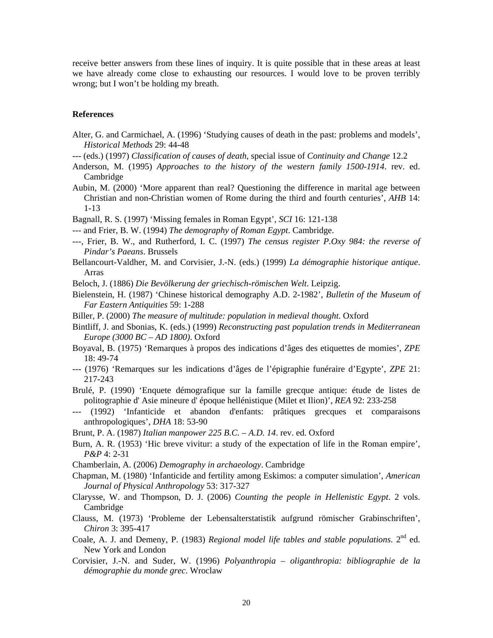receive better answers from these lines of inquiry. It is quite possible that in these areas at least we have already come close to exhausting our resources. I would love to be proven terribly wrong; but I won't be holding my breath.

#### **References**

- Alter, G. and Carmichael, A. (1996) 'Studying causes of death in the past: problems and models', *Historical Methods* 29: 44-48
- --- (eds.) (1997) *Classification of causes of death*, special issue of *Continuity and Change* 12.2
- Anderson, M. (1995) *Approaches to the history of the western family 1500-1914*. rev. ed. Cambridge
- Aubin, M. (2000) 'More apparent than real? Questioning the difference in marital age between Christian and non-Christian women of Rome during the third and fourth centuries', *AHB* 14: 1-13
- Bagnall, R. S. (1997) 'Missing females in Roman Egypt', *SCI* 16: 121-138
- --- and Frier, B. W. (1994) *The demography of Roman Egypt*. Cambridge.
- ---, Frier, B. W., and Rutherford, I. C. (1997) *The census register P.Oxy 984: the reverse of Pindar's Paeans*. Brussels
- Bellancourt-Valdher, M. and Corvisier, J.-N. (eds.) (1999) *La démographie historique antique*. Arras
- Beloch, J. (1886) *Die Bevölkerung der griechisch-römischen Welt*. Leipzig.
- Bielenstein, H. (1987) 'Chinese historical demography A.D. 2-1982', *Bulletin of the Museum of Far Eastern Antiquities* 59: 1-288
- Biller, P. (2000) *The measure of multitude: population in medieval thought*. Oxford
- Bintliff, J. and Sbonias, K. (eds.) (1999) *Reconstructing past population trends in Mediterranean Europe (3000 BC – AD 1800)*. Oxford
- Boyaval, B. (1975) 'Remarques à propos des indications d'âges des etiquettes de momies', *ZPE* 18: 49-74
- --- (1976) 'Remarques sur les indications d'âges de l'épigraphie funéraire d'Egypte', *ZPE* 21: 217-243
- Brulé, P. (1990) 'Enquete démografique sur la famille grecque antique: étude de listes de politographie d' Asie mineure d' époque hellénistique (Milet et Ilion)', *REA* 92: 233-258
- --- (1992) 'Infanticide et abandon d'enfants: prâtiques grecques et comparaisons anthropologiques', *DHA* 18: 53-90
- Brunt, P. A. (1987) *Italian manpower 225 B.C. A.D. 14*. rev. ed. Oxford
- Burn, A. R. (1953) 'Hic breve vivitur: a study of the expectation of life in the Roman empire', *P&P* 4: 2-31
- Chamberlain, A. (2006) *Demography in archaeology*. Cambridge

Chapman, M. (1980) 'Infanticide and fertility among Eskimos: a computer simulation', *American Journal of Physical Anthropology* 53: 317-327

- Clarysse, W. and Thompson, D. J. (2006) *Counting the people in Hellenistic Egypt*. 2 vols. Cambridge
- Clauss, M. (1973) 'Probleme der Lebensalterstatistik aufgrund römischer Grabinschriften', *Chiron* 3: 395-417
- Coale, A. J. and Demeny, P. (1983) *Regional model life tables and stable populations*. 2nd ed. New York and London
- Corvisier, J.-N. and Suder, W. (1996) *Polyanthropia oliganthropia: bibliographie de la démographie du monde grec*. Wroclaw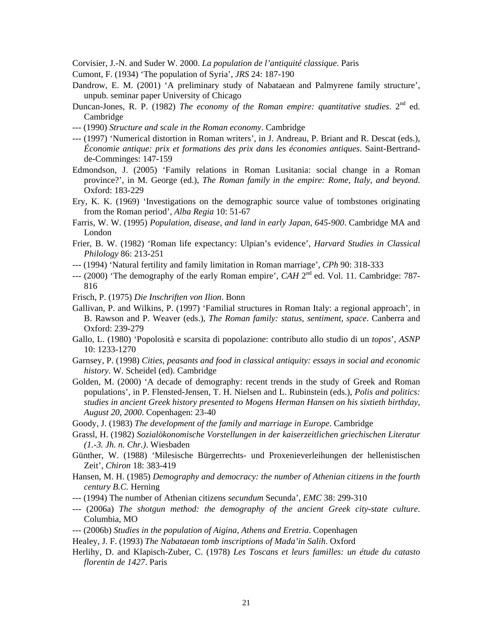Corvisier, J.-N. and Suder W. 2000. *La population de l'antiquité classique*. Paris

- Cumont, F. (1934) 'The population of Syria', *JRS* 24: 187-190
- Dandrow, E. M. (2001) 'A preliminary study of Nabataean and Palmyrene family structure', unpub. seminar paper University of Chicago
- Duncan-Jones, R. P. (1982) *The economy of the Roman empire: quantitative studies*. 2<sup>nd</sup> ed. Cambridge
- --- (1990) *Structure and scale in the Roman economy*. Cambridge
- --- (1997) 'Numerical distortion in Roman writers', in J. Andreau, P. Briant and R. Descat (eds.), *Économie antique: prix et formations des prix dans les économies antiques*. Saint-Bertrandde-Comminges: 147-159
- Edmondson, J. (2005) 'Family relations in Roman Lusitania: social change in a Roman province?', in M. George (ed.), *The Roman family in the empire: Rome, Italy, and beyond*. Oxford: 183-229
- Ery, K. K. (1969) 'Investigations on the demographic source value of tombstones originating from the Roman period', *Alba Regia* 10: 51-67
- Farris, W. W. (1995) *Population, disease, and land in early Japan, 645-900*. Cambridge MA and London
- Frier, B. W. (1982) 'Roman life expectancy: Ulpian's evidence', *Harvard Studies in Classical Philology* 86: 213-251
- --- (1994) 'Natural fertility and family limitation in Roman marriage', *CPh* 90: 318-333
- --- (2000) 'The demography of the early Roman empire', *CAH* 2nd ed. Vol. 11. Cambridge: 787- 816
- Frisch, P. (1975) *Die Inschriften von Ilion*. Bonn
- Gallivan, P. and Wilkins, P. (1997) 'Familial structures in Roman Italy: a regional approach', in B. Rawson and P. Weaver (eds.), *The Roman family: status, sentiment, space*. Canberra and Oxford: 239-279
- Gallo, L. (1980) 'Popolosità e scarsita di popolazione: contributo allo studio di un *topos*', *ASNP* 10: 1233-1270
- Garnsey, P. (1998) *Cities, peasants and food in classical antiquity: essays in social and economic history*. W. Scheidel (ed). Cambridge
- Golden, M. (2000) 'A decade of demography: recent trends in the study of Greek and Roman populations', in P. Flensted-Jensen, T. H. Nielsen and L. Rubinstein (eds.), *Polis and politics: studies in ancient Greek history presented to Mogens Herman Hansen on his sixtieth birthday, August 20, 2000*. Copenhagen: 23-40
- Goody, J. (1983) *The development of the family and marriage in Europe*. Cambridge
- Grassl, H. (1982) *Sozialökonomische Vorstellungen in der kaiserzeitlichen griechischen Literatur (1.-3. Jh. n. Chr.)*. Wiesbaden
- Günther, W. (1988) 'Milesische Bürgerrechts- und Proxenieverleihungen der hellenistischen Zeit', *Chiron* 18: 383-419
- Hansen, M. H. (1985) *Demography and democracy: the number of Athenian citizens in the fourth century B.C.* Herning
- --- (1994) The number of Athenian citizens *secundum* Secunda', *EMC* 38: 299-310
- --- (2006a) *The shotgun method: the demography of the ancient Greek city-state culture*. Columbia, MO
- --- (2006b) *Studies in the population of Aigina, Athens and Eretria*. Copenhagen
- Healey, J. F. (1993) *The Nabataean tomb inscriptions of Mada'in Salih*. Oxford
- Herlihy, D. and Klapisch-Zuber, C. (1978) *Les Toscans et leurs familles: un étude du catasto florentin de 1427*. Paris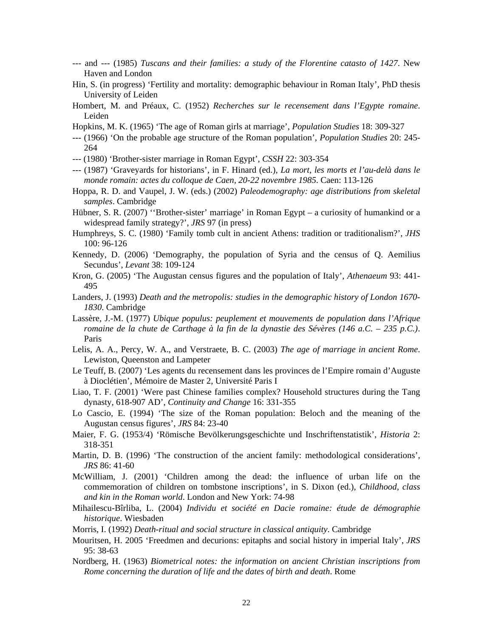- --- and --- (1985) *Tuscans and their families: a study of the Florentine catasto of 1427*. New Haven and London
- Hin, S. (in progress) 'Fertility and mortality: demographic behaviour in Roman Italy', PhD thesis University of Leiden
- Hombert, M. and Préaux, C. (1952) *Recherches sur le recensement dans l'Egypte romaine*. Leiden
- Hopkins, M. K. (1965) 'The age of Roman girls at marriage', *Population Studies* 18: 309-327
- --- (1966) 'On the probable age structure of the Roman population', *Population Studies* 20: 245- 264
- --- (1980) 'Brother-sister marriage in Roman Egypt', *CSSH* 22: 303-354
- --- (1987) 'Graveyards for historians', in F. Hinard (ed.), *La mort, les morts et l'au-delà dans le monde romain: actes du colloque de Caen, 20-22 novembre 1985*. Caen: 113-126
- Hoppa, R. D. and Vaupel, J. W. (eds.) (2002) *Paleodemography: age distributions from skeletal samples*. Cambridge
- Hübner, S. R. (2007) "Brother-sister' marriage' in Roman Egypt a curiosity of humankind or a widespread family strategy?', *JRS* 97 (in press)
- Humphreys, S. C. (1980) 'Family tomb cult in ancient Athens: tradition or traditionalism?', *JHS* 100: 96-126
- Kennedy, D. (2006) 'Demography, the population of Syria and the census of Q. Aemilius Secundus', *Levant* 38: 109-124
- Kron, G. (2005) 'The Augustan census figures and the population of Italy', *Athenaeum* 93: 441- 495
- Landers, J. (1993) *Death and the metropolis: studies in the demographic history of London 1670- 1830*. Cambridge
- Lassère, J.-M. (1977) *Ubique populus: peuplement et mouvements de population dans l'Afrique romaine de la chute de Carthage à la fin de la dynastie des Sévères (146 a.C. – 235 p.C.)*. Paris
- Lelis, A. A., Percy, W. A., and Verstraete, B. C. (2003) *The age of marriage in ancient Rome*. Lewiston, Queenston and Lampeter
- Le Teuff, B. (2007) 'Les agents du recensement dans les provinces de l'Empire romain d'Auguste à Dioclétien', Mémoire de Master 2, Université Paris I
- Liao, T. F. (2001) 'Were past Chinese families complex? Household structures during the Tang dynasty, 618-907 AD', *Continuity and Change* 16: 331-355
- Lo Cascio, E. (1994) 'The size of the Roman population: Beloch and the meaning of the Augustan census figures', *JRS* 84: 23-40
- Maier, F. G. (1953/4) 'Römische Bevölkerungsgeschichte und Inschriftenstatistik', *Historia* 2: 318-351
- Martin, D. B. (1996) 'The construction of the ancient family: methodological considerations', *JRS* 86: 41-60
- McWilliam, J. (2001) 'Children among the dead: the influence of urban life on the commemoration of children on tombstone inscriptions', in S. Dixon (ed.), *Childhood, class and kin in the Roman world*. London and New York: 74-98
- Mihailescu-Bîrliba, L. (2004) *Individu et société en Dacie romaine: étude de démographie historique*. Wiesbaden
- Morris, I. (1992) *Death-ritual and social structure in classical antiquity*. Cambridge
- Mouritsen, H. 2005 'Freedmen and decurions: epitaphs and social history in imperial Italy', *JRS* 95: 38-63
- Nordberg, H. (1963) *Biometrical notes: the information on ancient Christian inscriptions from Rome concerning the duration of life and the dates of birth and death*. Rome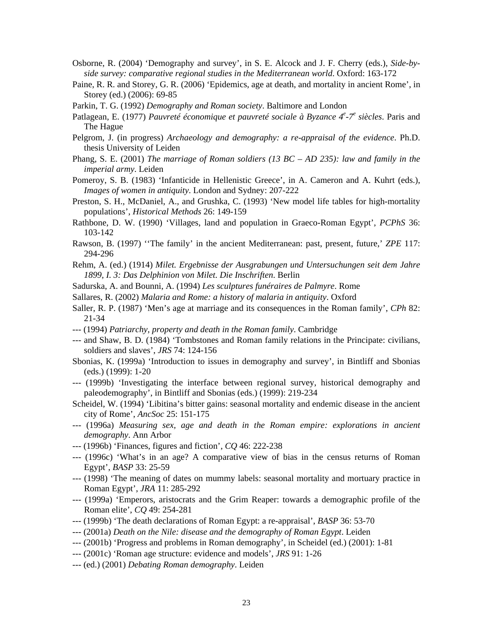- Osborne, R. (2004) 'Demography and survey', in S. E. Alcock and J. F. Cherry (eds.), *Side-byside survey: comparative regional studies in the Mediterranean world*. Oxford: 163-172
- Paine, R. R. and Storey, G. R. (2006) 'Epidemics, age at death, and mortality in ancient Rome', in Storey (ed.) (2006): 69-85
- Parkin, T. G. (1992) *Demography and Roman society*. Baltimore and London
- Patlagean, E. (1977) *Pauvreté économique et pauvreté sociale à Byzance 4<sup>e</sup> -7e siècles*. Paris and The Hague
- Pelgrom, J. (in progress) *Archaeology and demography: a re-appraisal of the evidence*. Ph.D. thesis University of Leiden
- Phang, S. E. (2001) *The marriage of Roman soldiers (13 BC AD 235): law and family in the imperial army*. Leiden
- Pomeroy, S. B. (1983) 'Infanticide in Hellenistic Greece', in A. Cameron and A. Kuhrt (eds.), *Images of women in antiquity*. London and Sydney: 207-222
- Preston, S. H., McDaniel, A., and Grushka, C. (1993) 'New model life tables for high-mortality populations', *Historical Methods* 26: 149-159
- Rathbone, D. W. (1990) 'Villages, land and population in Graeco-Roman Egypt', *PCPhS* 36: 103-142
- Rawson, B. (1997) ''The family' in the ancient Mediterranean: past, present, future,' *ZPE* 117: 294-296
- Rehm, A. (ed.) (1914) *Milet. Ergebnisse der Ausgrabungen und Untersuchungen seit dem Jahre 1899, I. 3: Das Delphinion von Milet. Die Inschriften*. Berlin
- Sadurska, A. and Bounni, A. (1994) *Les sculptures funéraires de Palmyre*. Rome
- Sallares, R. (2002) *Malaria and Rome: a history of malaria in antiquity*. Oxford
- Saller, R. P. (1987) 'Men's age at marriage and its consequences in the Roman family', *CPh* 82: 21-34
- --- (1994) *Patriarchy, property and death in the Roman family*. Cambridge
- --- and Shaw, B. D. (1984) 'Tombstones and Roman family relations in the Principate: civilians, soldiers and slaves', *JRS* 74: 124-156
- Sbonias, K. (1999a) 'Introduction to issues in demography and survey', in Bintliff and Sbonias (eds.) (1999): 1-20
- --- (1999b) 'Investigating the interface between regional survey, historical demography and paleodemography', in Bintliff and Sbonias (eds.) (1999): 219-234
- Scheidel, W. (1994) 'Libitina's bitter gains: seasonal mortality and endemic disease in the ancient city of Rome', *AncSoc* 25: 151-175
- --- (1996a) *Measuring sex, age and death in the Roman empire: explorations in ancient demography*. Ann Arbor
- --- (1996b) 'Finances, figures and fiction', *CQ* 46: 222-238
- --- (1996c) 'What's in an age? A comparative view of bias in the census returns of Roman Egypt', *BASP* 33: 25-59
- --- (1998) 'The meaning of dates on mummy labels: seasonal mortality and mortuary practice in Roman Egypt', *JRA* 11: 285-292
- --- (1999a) 'Emperors, aristocrats and the Grim Reaper: towards a demographic profile of the Roman elite', *CQ* 49: 254-281
- --- (1999b) 'The death declarations of Roman Egypt: a re-appraisal', *BASP* 36: 53-70
- --- (2001a) *Death on the Nile: disease and the demography of Roman Egypt*. Leiden
- --- (2001b) 'Progress and problems in Roman demography', in Scheidel (ed.) (2001): 1-81
- --- (2001c) 'Roman age structure: evidence and models', *JRS* 91: 1-26
- --- (ed.) (2001) *Debating Roman demography*. Leiden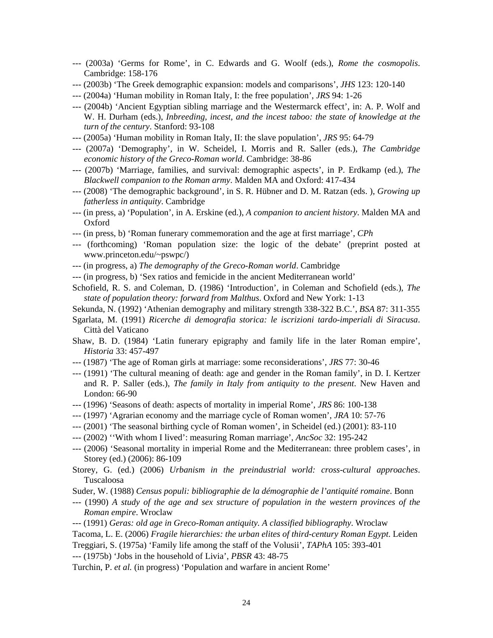- --- (2003a) 'Germs for Rome', in C. Edwards and G. Woolf (eds.), *Rome the cosmopolis*. Cambridge: 158-176
- --- (2003b) 'The Greek demographic expansion: models and comparisons', *JHS* 123: 120-140
- --- (2004a) 'Human mobility in Roman Italy, I: the free population', *JRS* 94: 1-26
- --- (2004b) 'Ancient Egyptian sibling marriage and the Westermarck effect', in: A. P. Wolf and W. H. Durham (eds.), *Inbreeding, incest, and the incest taboo: the state of knowledge at the turn of the century*. Stanford: 93-108
- --- (2005a) 'Human mobility in Roman Italy, II: the slave population', *JRS* 95: 64-79
- --- (2007a) 'Demography', in W. Scheidel, I. Morris and R. Saller (eds.), *The Cambridge economic history of the Greco-Roman world*. Cambridge: 38-86
- --- (2007b) 'Marriage, families, and survival: demographic aspects', in P. Erdkamp (ed.), *The Blackwell companion to the Roman army*. Malden MA and Oxford: 417-434
- --- (2008) 'The demographic background', in S. R. Hübner and D. M. Ratzan (eds. ), *Growing up fatherless in antiquity*. Cambridge
- --- (in press, a) 'Population', in A. Erskine (ed.), *A companion to ancient history*. Malden MA and Oxford
- --- (in press, b) 'Roman funerary commemoration and the age at first marriage', *CPh*
- --- (forthcoming) 'Roman population size: the logic of the debate' (preprint posted at www.princeton.edu/~pswpc/)
- --- (in progress, a) *The demography of the Greco-Roman world*. Cambridge
- --- (in progress, b) 'Sex ratios and femicide in the ancient Mediterranean world'
- Schofield, R. S. and Coleman, D. (1986) 'Introduction', in Coleman and Schofield (eds.), *The state of population theory: forward from Malthus*. Oxford and New York: 1-13
- Sekunda, N. (1992) 'Athenian demography and military strength 338-322 B.C.', *BSA* 87: 311-355
- Sgarlata, M. (1991) *Ricerche di demografia storica: le iscrizioni tardo-imperiali di Siracusa*. Città del Vaticano
- Shaw, B. D. (1984) 'Latin funerary epigraphy and family life in the later Roman empire', *Historia* 33: 457-497
- --- (1987) 'The age of Roman girls at marriage: some reconsiderations', *JRS* 77: 30-46
- --- (1991) 'The cultural meaning of death: age and gender in the Roman family', in D. I. Kertzer and R. P. Saller (eds.), *The family in Italy from antiquity to the present*. New Haven and London: 66-90
- --- (1996) 'Seasons of death: aspects of mortality in imperial Rome', *JRS* 86: 100-138
- --- (1997) 'Agrarian economy and the marriage cycle of Roman women', *JRA* 10: 57-76
- --- (2001) 'The seasonal birthing cycle of Roman women', in Scheidel (ed.) (2001): 83-110
- --- (2002) ''With whom I lived': measuring Roman marriage', *AncSoc* 32: 195-242
- --- (2006) 'Seasonal mortality in imperial Rome and the Mediterranean: three problem cases', in Storey (ed.) (2006): 86-109
- Storey, G. (ed.) (2006) *Urbanism in the preindustrial world: cross-cultural approaches*. Tuscaloosa
- Suder, W. (1988) *Census populi: bibliographie de la démographie de l'antiquité romaine*. Bonn
- --- (1990) *A study of the age and sex structure of population in the western provinces of the Roman empire*. Wroclaw
- --- (1991) *Geras: old age in Greco-Roman antiquity. A classified bibliography*. Wroclaw

Tacoma, L. E. (2006) *Fragile hierarchies: the urban elites of third-century Roman Egypt*. Leiden

- Treggiari, S. (1975a) 'Family life among the staff of the Volusii', *TAPhA* 105: 393-401
- --- (1975b) 'Jobs in the household of Livia', *PBSR* 43: 48-75

Turchin, P. *et al.* (in progress) 'Population and warfare in ancient Rome'